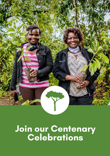

# **Join our Centenary Celebrations**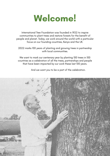

International Tree Foundation was founded in 1922 to inspire communities to plant trees and restore forests for the benefit of people and planet. Today, we work around the world with a particular focus on our founding countries, Kenya and the UK.

2022 marks 100 years of planting and growing trees in partnership with local communities.

We want to mark our centenary year by planting 100 trees in 100 countries as a celebration of all the trees, partnerships and people that have been impacted by our work these last 100 years.

And we want you to be a part of the celebration.

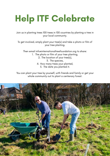# **Help ITF Celebrate**

Join us in planting trees 100 trees in 100 countries by planting a tree in your local community.

To get involved, simply plant your tree(s) and take a photo or film of your tree planting.

Then email info@internationaltreefoundation.org to share:

- 1. The photo or film of your tree planting,
	- 2. The location of your tree(s),
		- 3. The species,
	- 4. How many trees your planted,
		- 5. The date you planted it.

You can plant your tree by yourself, with friends and family or get your whole community out to plant a centenary forest.

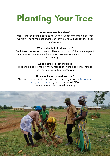# **Planting Your Tree**

#### **What tree should I plant?**

Make sure you plant a species native to your country and region, that way it will have the best chance of survival and will benefit the local biodiversity.

#### **Where should I plant my tree?**

Each tree species will thrive in different locations. Make sure you plant your tree somewhere it will thrive, and somewhere you can visit it to ensure it grows.

#### **When should I plant my tree?**

Trees should be planted in the winter or during the cooler months so that they can establish themselves.

#### **How can I share about my tree?**

You can post about it on social media and tag us on on [Facebook](https://www.facebook.com/internationaltreefoundation), [Instagram](https://www.instagram.com/internationaltreefoundation/) or [LinkedIn,](https://www.linkedin.com/company/3503396/) or you can email ITF on info@internationaltreefoundation.org.

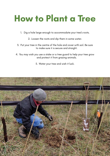### **How to Plant a Tree**

- 1. Dig a hole large enough to accommodate your tree's roots.
	- 2. Loosen the roots and dip them in some water.
- 3. Put your tree in the centre of the hole and cover with soil. Be sure to make sure it is secure and straight.
- 4. You may wish you use a stake or a tree guard to help your tree grow and protect it from grazing animals.
	- 5. Water your tree and wish it luck.

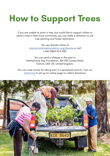### **How to Support Trees**

If you are unable to plant a tree, but would like to support others to plant a tree in their local community, you can make a donation to aid tree planting and forest restoration.

> You can donate online at [internationaltreefoundation.org/donate](http://internationaltreefoundation.org/donate) or call (+44) 01865 922 430.

You can send a cheque in the post to International Tree Foundation, 106-108 Cowley Road, Oxford, OX4 1JE, United Kingdom.

You can raise money by taking part in a sponsored activity. Visit our [JustGiving](https://www.justgiving.com/intreefound) to set up an online page to collect donations.

![](_page_5_Picture_5.jpeg)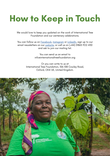### **How to Keep in Touch**

We would love to keep you updated on the work of International Tree Foundation and our centenary celebrations.

You can follow us on [Facebook,](https://www.facebook.com/internationaltreefoundation) [Instagram](https://www.instagram.com/internationaltreefoundation/) or [LinkedIn,](https://www.linkedin.com/company/3503396/) sign up to our email newsletters on our [website,](https://internationaltreefoundation.org/subscribe-to-our-newsletter/) or call us on (+44) 01865 922 430 and ask to join our mailing list.

> You can send us an email to info@internationaltreefoundation.org

Or you can write to us at International Tree Foundation, 106-108 Cowley Road, Oxford, OX4 1JE, United Kingdom.

![](_page_6_Picture_5.jpeg)